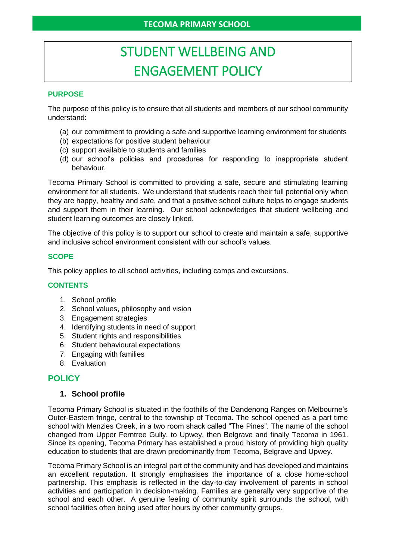# STUDENT WELLBEING AND ENGAGEMENT POLICY

## **PURPOSE**

The purpose of this policy is to ensure that all students and members of our school community understand:

- (a) our commitment to providing a safe and supportive learning environment for students
- (b) expectations for positive student behaviour
- (c) support available to students and families
- (d) our school's policies and procedures for responding to inappropriate student behaviour.

Tecoma Primary School is committed to providing a safe, secure and stimulating learning environment for all students. We understand that students reach their full potential only when they are happy, healthy and safe, and that a positive school culture helps to engage students and support them in their learning. Our school acknowledges that student wellbeing and student learning outcomes are closely linked.

The objective of this policy is to support our school to create and maintain a safe, supportive and inclusive school environment consistent with our school's values.

#### **SCOPE**

This policy applies to all school activities, including camps and excursions.

#### **CONTENTS**

- 1. School profile
- 2. School values, philosophy and vision
- 3. Engagement strategies
- 4. Identifying students in need of support
- 5. Student rights and responsibilities
- 6. Student behavioural expectations
- 7. Engaging with families
- 8. Evaluation

## **POLICY**

#### **1. School profile**

Tecoma Primary School is situated in the foothills of the Dandenong Ranges on Melbourne's Outer-Eastern fringe, central to the township of Tecoma. The school opened as a part time school with Menzies Creek, in a two room shack called "The Pines". The name of the school changed from Upper Ferntree Gully, to Upwey, then Belgrave and finally Tecoma in 1961. Since its opening, Tecoma Primary has established a proud history of providing high quality education to students that are drawn predominantly from Tecoma, Belgrave and Upwey.

Tecoma Primary School is an integral part of the community and has developed and maintains an excellent reputation. It strongly emphasises the importance of a close home-school partnership. This emphasis is reflected in the day-to-day involvement of parents in school activities and participation in decision-making. Families are generally very supportive of the school and each other. A genuine feeling of community spirit surrounds the school, with school facilities often being used after hours by other community groups.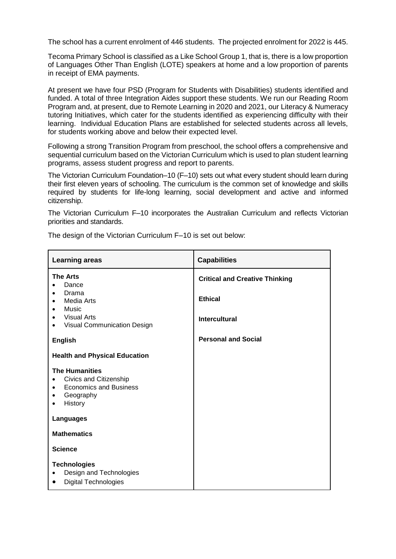The school has a current enrolment of 446 students. The projected enrolment for 2022 is 445.

Tecoma Primary School is classified as a Like School Group 1, that is, there is a low proportion of Languages Other Than English (LOTE) speakers at home and a low proportion of parents in receipt of EMA payments.

At present we have four PSD (Program for Students with Disabilities) students identified and funded. A total of three Integration Aides support these students. We run our Reading Room Program and, at present, due to Remote Learning in 2020 and 2021, our Literacy & Numeracy tutoring Initiatives, which cater for the students identified as experiencing difficulty with their learning. Individual Education Plans are established for selected students across all levels, for students working above and below their expected level.

Following a strong Transition Program from preschool, the school offers a comprehensive and sequential curriculum based on the Victorian Curriculum which is used to plan student learning programs, assess student progress and report to parents.

The Victorian Curriculum Foundation–10 (F–10) sets out what every student should learn during their first eleven years of schooling. The curriculum is the common set of knowledge and skills required by students for life-long learning, social development and active and informed citizenship.

The Victorian Curriculum F–10 incorporates the Australian Curriculum and reflects Victorian priorities and standards.

The design of the Victorian Curriculum F–10 is set out below:

| <b>Learning areas</b>                                                                                                                                | <b>Capabilities</b>                                     |
|------------------------------------------------------------------------------------------------------------------------------------------------------|---------------------------------------------------------|
| <b>The Arts</b><br>Dance<br>Drama<br>$\bullet$<br>Media Arts<br>٠<br>Music<br>$\bullet$<br><b>Visual Arts</b>                                        | <b>Critical and Creative Thinking</b><br><b>Ethical</b> |
| $\bullet$<br>Visual Communication Design<br>$\bullet$                                                                                                | <b>Intercultural</b>                                    |
| <b>English</b>                                                                                                                                       | <b>Personal and Social</b>                              |
| <b>Health and Physical Education</b>                                                                                                                 |                                                         |
| <b>The Humanities</b><br>Civics and Citizenship<br>$\bullet$<br><b>Economics and Business</b><br>$\bullet$<br>Geography<br>$\bullet$<br>History<br>٠ |                                                         |
| Languages                                                                                                                                            |                                                         |
| <b>Mathematics</b>                                                                                                                                   |                                                         |
| <b>Science</b>                                                                                                                                       |                                                         |
| <b>Technologies</b><br>Design and Technologies<br><b>Digital Technologies</b>                                                                        |                                                         |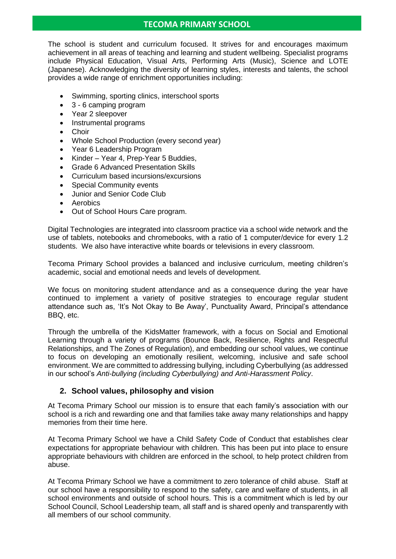## **TECOMA PRIMARY SCHOOL**

The school is student and curriculum focused. It strives for and encourages maximum achievement in all areas of teaching and learning and student wellbeing. Specialist programs include Physical Education, Visual Arts, Performing Arts (Music), Science and LOTE (Japanese). Acknowledging the diversity of learning styles, interests and talents, the school provides a wide range of enrichment opportunities including:

- Swimming, sporting clinics, interschool sports
- 3 6 camping program
- Year 2 sleepover
- Instrumental programs
- Choir
- Whole School Production (every second year)
- Year 6 Leadership Program
- Kinder Year 4, Prep-Year 5 Buddies,
- Grade 6 Advanced Presentation Skills
- Curriculum based incursions/excursions
- Special Community events
- Junior and Senior Code Club
- **Aerobics**
- Out of School Hours Care program.

Digital Technologies are integrated into classroom practice via a school wide network and the use of tablets, notebooks and chromebooks, with a ratio of 1 computer/device for every 1.2 students. We also have interactive white boards or televisions in every classroom.

Tecoma Primary School provides a balanced and inclusive curriculum, meeting children's academic, social and emotional needs and levels of development.

We focus on monitoring student attendance and as a consequence during the year have continued to implement a variety of positive strategies to encourage regular student attendance such as, 'It's Not Okay to Be Away', Punctuality Award, Principal's attendance BBQ, etc.

Through the umbrella of the KidsMatter framework, with a focus on Social and Emotional Learning through a variety of programs (Bounce Back, Resilience, Rights and Respectful Relationships, and The Zones of Regulation), and embedding our school values, we continue to focus on developing an emotionally resilient, welcoming, inclusive and safe school environment. We are committed to addressing bullying, including Cyberbullying (as addressed in our school's *Anti-bullying (including Cyberbullying) and Anti-Harassment Policy*.

## **2. School values, philosophy and vision**

At Tecoma Primary School our mission is to ensure that each family's association with our school is a rich and rewarding one and that families take away many relationships and happy memories from their time here.

At Tecoma Primary School we have a Child Safety Code of Conduct that establishes clear expectations for appropriate behaviour with children. This has been put into place to ensure appropriate behaviours with children are enforced in the school, to help protect children from abuse.

At Tecoma Primary School we have a commitment to zero tolerance of child abuse. Staff at our school have a responsibility to respond to the safety, care and welfare of students, in all school environments and outside of school hours. This is a commitment which is led by our School Council, School Leadership team, all staff and is shared openly and transparently with all members of our school community.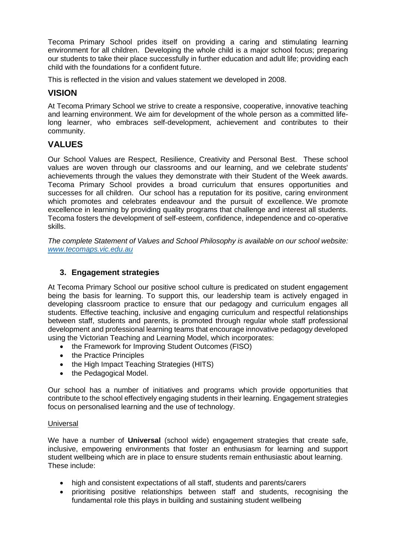Tecoma Primary School prides itself on providing a caring and stimulating learning environment for all children. Developing the whole child is a major school focus; preparing our students to take their place successfully in further education and adult life; providing each child with the foundations for a confident future.

This is reflected in the vision and values statement we developed in 2008.

# **VISION**

At Tecoma Primary School we strive to create a responsive, cooperative, innovative teaching and learning environment. We aim for development of the whole person as a committed lifelong learner, who embraces self-development, achievement and contributes to their community.

# **VALUES**

Our School Values are Respect, Resilience, Creativity and Personal Best. These school values are woven through our classrooms and our learning, and we celebrate students' achievements through the values they demonstrate with their Student of the Week awards. Tecoma Primary School provides a broad curriculum that ensures opportunities and successes for all children. Our school has a reputation for its positive, caring environment which promotes and celebrates endeavour and the pursuit of excellence. We promote excellence in learning by providing quality programs that challenge and interest all students. Tecoma fosters the development of self-esteem, confidence, independence and co-operative skills.

*The complete Statement of Values and School Philosophy is available on our school website: [www.tecomaps.vic.edu.au](http://www.tecomaps.vic.edu.au/)*

## **3. Engagement strategies**

At Tecoma Primary School our positive school culture is predicated on student engagement being the basis for learning. To support this, our leadership team is actively engaged in developing classroom practice to ensure that our pedagogy and curriculum engages all students. Effective teaching, inclusive and engaging curriculum and respectful relationships between staff, students and parents, is promoted through regular whole staff professional development and professional learning teams that encourage innovative pedagogy developed using the Victorian Teaching and Learning Model, which incorporates:

- the Framework for Improving Student Outcomes (FISO)
- the Practice Principles
- the High Impact Teaching Strategies (HITS)
- the Pedagogical Model.

Our school has a number of initiatives and programs which provide opportunities that contribute to the school effectively engaging students in their learning. Engagement strategies focus on personalised learning and the use of technology.

#### **Universal**

We have a number of **Universal** (school wide) engagement strategies that create safe, inclusive, empowering environments that foster an enthusiasm for learning and support student wellbeing which are in place to ensure students remain enthusiastic about learning. These include:

- high and consistent expectations of all staff, students and parents/carers
- prioritising positive relationships between staff and students, recognising the fundamental role this plays in building and sustaining student wellbeing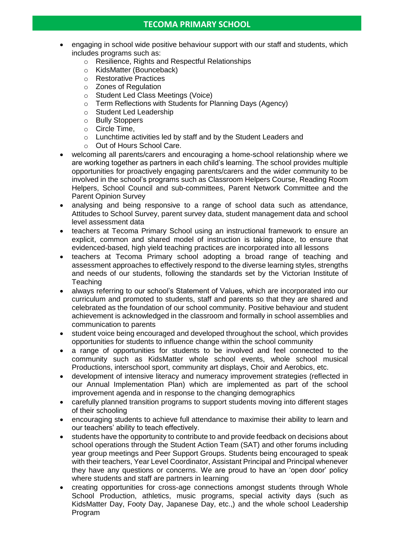- engaging in school wide positive behaviour support with our staff and students, which includes programs such as:
	- o Resilience, Rights and Respectful Relationships
	- o KidsMatter (Bounceback)
	- o Restorative Practices
	- o Zones of Regulation
	- o Student Led Class Meetings (Voice)
	- o Term Reflections with Students for Planning Days (Agency)
	- o Student Led Leadership
	- o Bully Stoppers
	- o Circle Time,
	- o Lunchtime activities led by staff and by the Student Leaders and
	- o Out of Hours School Care.
- welcoming all parents/carers and encouraging a home-school relationship where we are working together as partners in each child's learning. The school provides multiple opportunities for proactively engaging parents/carers and the wider community to be involved in the school's programs such as Classroom Helpers Course, Reading Room Helpers, School Council and sub-committees, Parent Network Committee and the Parent Opinion Survey
- analysing and being responsive to a range of school data such as attendance, Attitudes to School Survey, parent survey data, student management data and school level assessment data
- teachers at Tecoma Primary School using an instructional framework to ensure an explicit, common and shared model of instruction is taking place, to ensure that evidenced-based, high yield teaching practices are incorporated into all lessons
- teachers at Tecoma Primary school adopting a broad range of teaching and assessment approaches to effectively respond to the diverse learning styles, strengths and needs of our students, following the standards set by the Victorian Institute of **Teaching**
- always referring to our school's Statement of Values, which are incorporated into our curriculum and promoted to students, staff and parents so that they are shared and celebrated as the foundation of our school community. Positive behaviour and student achievement is acknowledged in the classroom and formally in school assemblies and communication to parents
- student voice being encouraged and developed throughout the school, which provides opportunities for students to influence change within the school community
- a range of opportunities for students to be involved and feel connected to the community such as KidsMatter whole school events, whole school musical Productions, interschool sport, community art displays, Choir and Aerobics, etc.
- development of intensive literacy and numeracy improvement strategies (reflected in our Annual Implementation Plan) which are implemented as part of the school improvement agenda and in response to the changing demographics
- carefully planned transition programs to support students moving into different stages of their schooling
- encouraging students to achieve full attendance to maximise their ability to learn and our teachers' ability to teach effectively.
- students have the opportunity to contribute to and provide feedback on decisions about school operations through the Student Action Team (SAT) and other forums including year group meetings and Peer Support Groups. Students being encouraged to speak with their teachers, Year Level Coordinator, Assistant Principal and Principal whenever they have any questions or concerns. We are proud to have an 'open door' policy where students and staff are partners in learning
- creating opportunities for cross-age connections amongst students through Whole School Production, athletics, music programs, special activity days (such as KidsMatter Day, Footy Day, Japanese Day, etc.,) and the whole school Leadership Program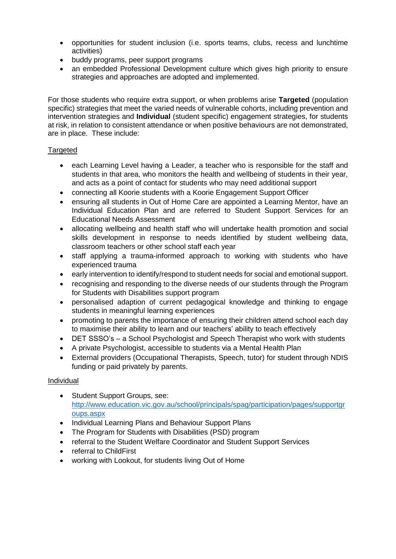- opportunities for student inclusion (i.e. sports teams, clubs, recess and lunchtime activities)
- buddy programs, peer support programs
- an embedded Professional Development culture which gives high priority to ensure strategies and approaches are adopted and implemented.

For those students who require extra support, or when problems arise **Targeted** (population specific) strategies that meet the varied needs of vulnerable cohorts, including prevention and intervention strategies and **Individual** (student specific) engagement strategies, for students at risk, in relation to consistent attendance or when positive behaviours are not demonstrated, are in place. These include:

## **Targeted**

- each Learning Level having a Leader, a teacher who is responsible for the staff and students in that area, who monitors the health and wellbeing of students in their year, and acts as a point of contact for students who may need additional support
- connecting all Koorie students with a Koorie Engagement Support Officer
- ensuring all students in Out of Home Care are appointed a Learning Mentor, have an Individual Education Plan and are referred to Student Support Services for an Educational Needs Assessment
- allocating wellbeing and health staff who will undertake health promotion and social skills development in response to needs identified by student wellbeing data, classroom teachers or other school staff each year
- staff applying a trauma-informed approach to working with students who have experienced trauma
- early intervention to identify/respond to student needs for social and emotional support.
- recognising and responding to the diverse needs of our students through the Program for Students with Disabilities support program
- personalised adaption of current pedagogical knowledge and thinking to engage students in meaningful learning experiences
- promoting to parents the importance of ensuring their children attend school each day to maximise their ability to learn and our teachers' ability to teach effectively
- DET SSSO's a School Psychologist and Speech Therapist who work with students
- A private Psychologist, accessible to students via a Mental Health Plan
- External providers (Occupational Therapists, Speech, tutor) for student through NDIS funding or paid privately by parents.

## **Individual**

- Student Support Groups, see: [http://www.education.vic.gov.au/school/principals/spag/participation/pages/supportgr](http://www.education.vic.gov.au/school/principals/spag/participation/pages/supportgroups.aspx) [oups.aspx](http://www.education.vic.gov.au/school/principals/spag/participation/pages/supportgroups.aspx)
- Individual Learning Plans and Behaviour Support Plans
- The Program for Students with Disabilities (PSD) program
- referral to the Student Welfare Coordinator and Student Support Services
- referral to ChildFirst
- working with Lookout, for students living Out of Home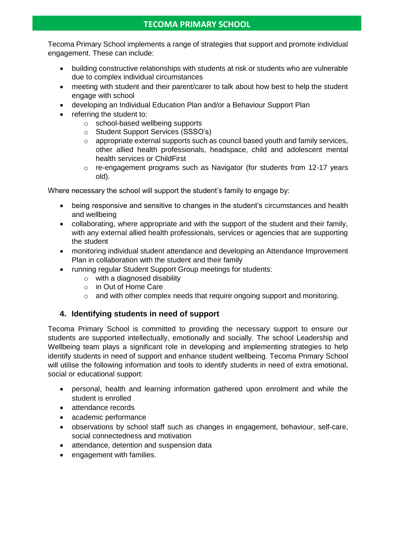Tecoma Primary School implements a range of strategies that support and promote individual engagement. These can include:

- building constructive relationships with students at risk or students who are vulnerable due to complex individual circumstances
- meeting with student and their parent/carer to talk about how best to help the student engage with school
- developing an Individual Education Plan and/or a Behaviour Support Plan
- referring the student to:
	- o school-based wellbeing supports
	- o Student Support Services (SSSO's)
	- o appropriate external supports such as council based youth and family services, other allied health professionals, headspace, child and adolescent mental health services or ChildFirst
	- o re-engagement programs such as Navigator (for students from 12-17 years old).

Where necessary the school will support the student's family to engage by:

- being responsive and sensitive to changes in the student's circumstances and health and wellbeing
- collaborating, where appropriate and with the support of the student and their family, with any external allied health professionals, services or agencies that are supporting the student
- monitoring individual student attendance and developing an Attendance Improvement Plan in collaboration with the student and their family
- running regular Student Support Group meetings for students:
	- o with a diagnosed disability
	- o in Out of Home Care
	- o and with other complex needs that require ongoing support and monitoring.

## **4. Identifying students in need of support**

Tecoma Primary School is committed to providing the necessary support to ensure our students are supported intellectually, emotionally and socially. The school Leadership and Wellbeing team plays a significant role in developing and implementing strategies to help identify students in need of support and enhance student wellbeing. Tecoma Primary School will utilise the following information and tools to identify students in need of extra emotional, social or educational support:

- personal, health and learning information gathered upon enrolment and while the student is enrolled
- attendance records
- academic performance
- observations by school staff such as changes in engagement, behaviour, self-care, social connectedness and motivation
- attendance, detention and suspension data
- engagement with families.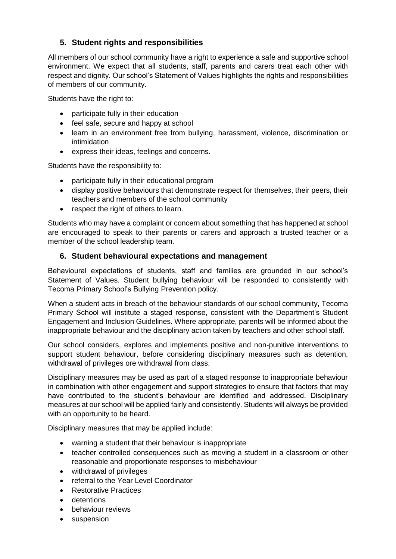## **5. Student rights and responsibilities**

All members of our school community have a right to experience a safe and supportive school environment. We expect that all students, staff, parents and carers treat each other with respect and dignity. Our school's Statement of Values highlights the rights and responsibilities of members of our community.

Students have the right to:

- participate fully in their education
- feel safe, secure and happy at school
- learn in an environment free from bullying, harassment, violence, discrimination or intimidation
- express their ideas, feelings and concerns.

Students have the responsibility to:

- participate fully in their educational program
- display positive behaviours that demonstrate respect for themselves, their peers, their teachers and members of the school community
- respect the right of others to learn.

Students who may have a complaint or concern about something that has happened at school are encouraged to speak to their parents or carers and approach a trusted teacher or a member of the school leadership team.

## **6. Student behavioural expectations and management**

Behavioural expectations of students, staff and families are grounded in our school's Statement of Values. Student bullying behaviour will be responded to consistently with Tecoma Primary School's Bullying Prevention policy.

When a student acts in breach of the behaviour standards of our school community, Tecoma Primary School will institute a staged response, consistent with the Department's Student Engagement and Inclusion Guidelines. Where appropriate, parents will be informed about the inappropriate behaviour and the disciplinary action taken by teachers and other school staff.

Our school considers, explores and implements positive and non-punitive interventions to support student behaviour, before considering disciplinary measures such as detention, withdrawal of privileges ore withdrawal from class.

Disciplinary measures may be used as part of a staged response to inappropriate behaviour in combination with other engagement and support strategies to ensure that factors that may have contributed to the student's behaviour are identified and addressed. Disciplinary measures at our school will be applied fairly and consistently. Students will always be provided with an opportunity to be heard.

Disciplinary measures that may be applied include:

- warning a student that their behaviour is inappropriate
- teacher controlled consequences such as moving a student in a classroom or other reasonable and proportionate responses to misbehaviour
- withdrawal of privileges
- referral to the Year Level Coordinator
- Restorative Practices
- detentions
- behaviour reviews
- suspension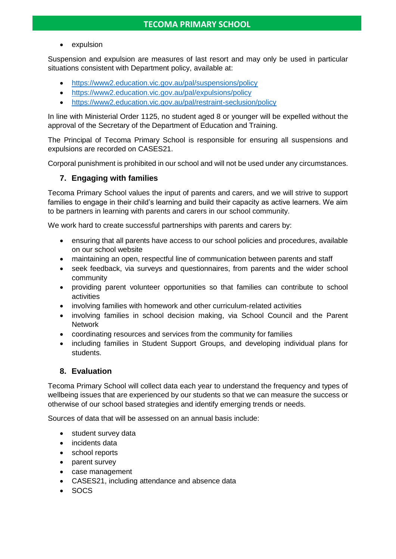• expulsion

Suspension and expulsion are measures of last resort and may only be used in particular situations consistent with Department policy, available at:

- <https://www2.education.vic.gov.au/pal/suspensions/policy>
- <https://www2.education.vic.gov.au/pal/expulsions/policy>
- <https://www2.education.vic.gov.au/pal/restraint-seclusion/policy>

In line with Ministerial Order 1125, no student aged 8 or younger will be expelled without the approval of the Secretary of the Department of Education and Training.

The Principal of Tecoma Primary School is responsible for ensuring all suspensions and expulsions are recorded on CASES21.

Corporal punishment is prohibited in our school and will not be used under any circumstances.

## **7. Engaging with families**

Tecoma Primary School values the input of parents and carers, and we will strive to support families to engage in their child's learning and build their capacity as active learners. We aim to be partners in learning with parents and carers in our school community.

We work hard to create successful partnerships with parents and carers by:

- ensuring that all parents have access to our school policies and procedures, available on our school website
- maintaining an open, respectful line of communication between parents and staff
- seek feedback, via surveys and questionnaires, from parents and the wider school community
- providing parent volunteer opportunities so that families can contribute to school activities
- involving families with homework and other curriculum-related activities
- involving families in school decision making, via School Council and the Parent Network
- coordinating resources and services from the community for families
- including families in Student Support Groups, and developing individual plans for students.

## **8. Evaluation**

Tecoma Primary School will collect data each year to understand the frequency and types of wellbeing issues that are experienced by our students so that we can measure the success or otherwise of our school based strategies and identify emerging trends or needs.

Sources of data that will be assessed on an annual basis include:

- student survey data
- incidents data
- school reports
- parent survey
- case management
- CASES21, including attendance and absence data
- SOCS